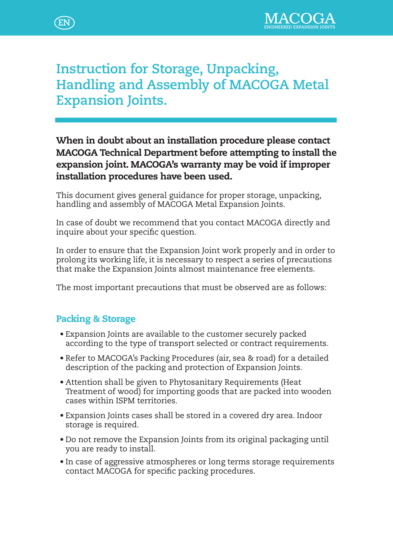



# **Instruction for Storage, Unpacking, Handling and Assembly of MACOGA Metal Expansion Joints.**

### When in doubt about an installation procedure please contact MACOGA Technical Department before attempting to install the expansion joint. MACOGA's warranty may be void if improper installation procedures have been used.

This document gives general guidance for proper storage, unpacking, handling and assembly of MACOGA Metal Expansion Joints.

In case of doubt we recommend that you contact MACOGA directly and inquire about your specific question.

In order to ensure that the Expansion Joint work properly and in order to prolong its working life, it is necessary to respect a series of precautions that make the Expansion Joints almost maintenance free elements.

The most important precautions that must be observed are as follows:

### Packing & Storage

- Expansion Joints are available to the customer securely packed according to the type of transport selected or contract requirements.
- Refer to MACOGA's Packing Procedures (air, sea & road) for a detailed description of the packing and protection of Expansion Joints.
- Attention shall be given to Phytosanitary Requirements (Heat Treatment of wood) for importing goods that are packed into wooden cases within ISPM territories.
- Expansion Joints cases shall be stored in a covered dry area. Indoor storage is required.
- Do not remove the Expansion Joints from its original packaging until you are ready to install.
- In case of aggressive atmospheres or long terms storage requirements contact MACOGA for specific packing procedures.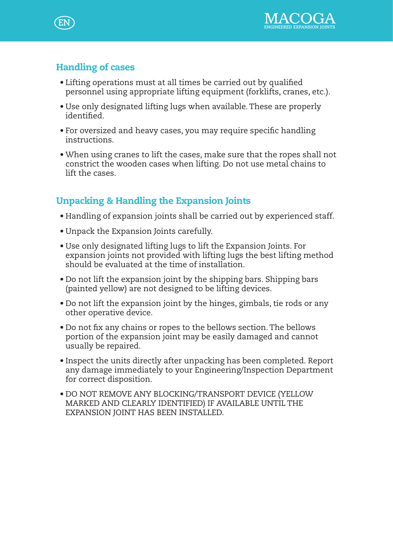

# Handling of cases

- Lifting operations must at all times be carried out by qualified personnel using appropriate lifting equipment (forklifts, cranes, etc.).
- Use only designated lifting lugs when available. These are properly identified.
- For oversized and heavy cases, you may require specific handling instructions.
- When using cranes to lift the cases, make sure that the ropes shall not constrict the wooden cases when lifting. Do not use metal chains to lift the cases.

# Unpacking & Handling the Expansion Joints

- Handling of expansion joints shall be carried out by experienced staff.
- • Unpack the Expansion Joints carefully.
- • Use only designated lifting lugs to lift the Expansion Joints. For expansion joints not provided with lifting lugs the best lifting method should be evaluated at the time of installation.
- Do not lift the expansion joint by the shipping bars. Shipping bars (painted yellow) are not designed to be lifting devices.
- • Do not lift the expansion joint by the hinges, gimbals, tie rods or any other operative device.
- Do not fix any chains or ropes to the bellows section. The bellows portion of the expansion joint may be easily damaged and cannot usually be repaired.
- Inspect the units directly after unpacking has been completed. Report any damage immediately to your Engineering/Inspection Department for correct disposition.
- • DO NOT REMOVE ANY BLOCKING/TRANSPORT DEVICE (YELLOW MARKED AND CLEARLY IDENTIFIED) IF AVAILABLE UNTIL THE EXPANSION JOINT HAS BEEN INSTALLED.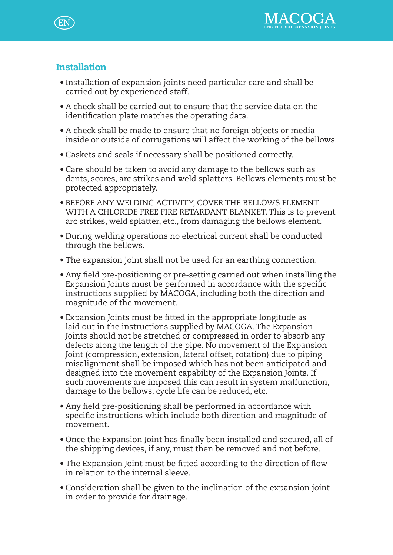

### **Installation**

- • Installation of expansion joints need particular care and shall be carried out by experienced staff.
- A check shall be carried out to ensure that the service data on the identification plate matches the operating data.
- A check shall be made to ensure that no foreign objects or media inside or outside of corrugations will affect the working of the bellows.
- • Gaskets and seals if necessary shall be positioned correctly.
- Care should be taken to avoid any damage to the bellows such as dents, scores, arc strikes and weld splatters. Bellows elements must be protected appropriately.
- BEFORE ANY WELDING ACTIVITY, COVER THE BELLOWS ELEMENT WITH A CHLORIDE FREE FIRE RETARDANT BLANKET. This is to prevent arc strikes, weld splatter, etc., from damaging the bellows element.
- During welding operations no electrical current shall be conducted through the bellows.
- The expansion joint shall not be used for an earthing connection.
- • Any field pre-positioning or pre-setting carried out when installing the Expansion Joints must be performed in accordance with the specific instructions supplied by MACOGA, including both the direction and magnitude of the movement.
- Expansion Joints must be fitted in the appropriate longitude as laid out in the instructions supplied by MACOGA. The Expansion Joints should not be stretched or compressed in order to absorb any defects along the length of the pipe. No movement of the Expansion Joint (compression, extension, lateral offset, rotation) due to piping misalignment shall be imposed which has not been anticipated and designed into the movement capability of the Expansion Joints. If such movements are imposed this can result in system malfunction, damage to the bellows, cycle life can be reduced, etc.
- Any field pre-positioning shall be performed in accordance with specific instructions which include both direction and magnitude of movement.
- • Once the Expansion Joint has finally been installed and secured, all of the shipping devices, if any, must then be removed and not before.
- The Expansion Joint must be fitted according to the direction of flow in relation to the internal sleeve.
- • Consideration shall be given to the inclination of the expansion joint in order to provide for drainage.